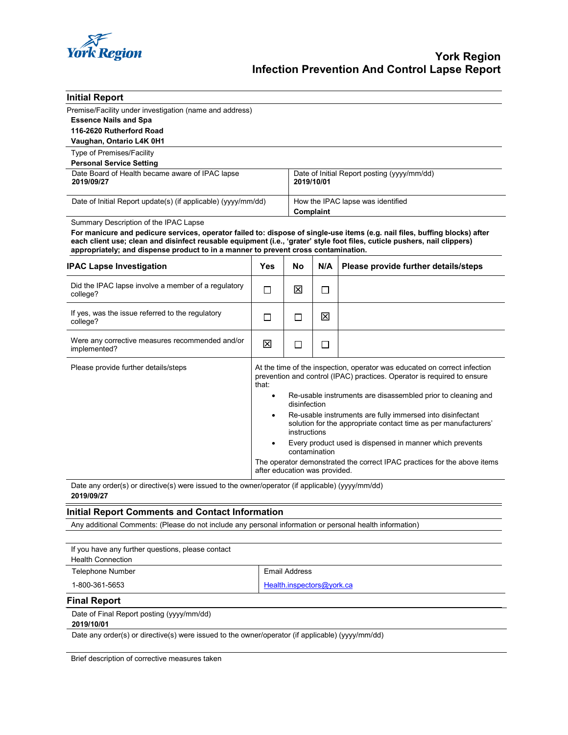

| <b>Initial Report</b>                                                                                                                                                                                                                                                                                                                                                                   |                                                                                                                                                                                                     |                                                                                                                                               |                                                           |                                      |  |
|-----------------------------------------------------------------------------------------------------------------------------------------------------------------------------------------------------------------------------------------------------------------------------------------------------------------------------------------------------------------------------------------|-----------------------------------------------------------------------------------------------------------------------------------------------------------------------------------------------------|-----------------------------------------------------------------------------------------------------------------------------------------------|-----------------------------------------------------------|--------------------------------------|--|
| Premise/Facility under investigation (name and address)<br><b>Essence Nails and Spa</b><br>116-2620 Rutherford Road                                                                                                                                                                                                                                                                     |                                                                                                                                                                                                     |                                                                                                                                               |                                                           |                                      |  |
| Vaughan, Ontario L4K 0H1                                                                                                                                                                                                                                                                                                                                                                |                                                                                                                                                                                                     |                                                                                                                                               |                                                           |                                      |  |
| Type of Premises/Facility<br><b>Personal Service Setting</b>                                                                                                                                                                                                                                                                                                                            |                                                                                                                                                                                                     |                                                                                                                                               |                                                           |                                      |  |
| Date Board of Health became aware of IPAC lapse<br>2019/09/27                                                                                                                                                                                                                                                                                                                           |                                                                                                                                                                                                     |                                                                                                                                               | Date of Initial Report posting (yyyy/mm/dd)<br>2019/10/01 |                                      |  |
| Date of Initial Report update(s) (if applicable) (yyyy/mm/dd)                                                                                                                                                                                                                                                                                                                           |                                                                                                                                                                                                     |                                                                                                                                               | How the IPAC lapse was identified<br>Complaint            |                                      |  |
| Summary Description of the IPAC Lapse<br>For manicure and pedicure services, operator failed to: dispose of single-use items (e.g. nail files, buffing blocks) after<br>each client use; clean and disinfect reusable equipment (i.e., 'grater' style foot files, cuticle pushers, nail clippers)<br>appropriately; and dispense product to in a manner to prevent cross contamination. |                                                                                                                                                                                                     |                                                                                                                                               |                                                           |                                      |  |
| <b>IPAC Lapse Investigation</b>                                                                                                                                                                                                                                                                                                                                                         | Yes                                                                                                                                                                                                 | No                                                                                                                                            | N/A                                                       | Please provide further details/steps |  |
| Did the IPAC lapse involve a member of a regulatory<br>college?                                                                                                                                                                                                                                                                                                                         | $\Box$                                                                                                                                                                                              | 図                                                                                                                                             | $\Box$                                                    |                                      |  |
| If yes, was the issue referred to the regulatory<br>college?                                                                                                                                                                                                                                                                                                                            | $\Box$                                                                                                                                                                                              | П                                                                                                                                             | ⊠                                                         |                                      |  |
| Were any corrective measures recommended and/or<br>implemented?                                                                                                                                                                                                                                                                                                                         | 区                                                                                                                                                                                                   | ப                                                                                                                                             | $\Box$                                                    |                                      |  |
| Please provide further details/steps                                                                                                                                                                                                                                                                                                                                                    | At the time of the inspection, operator was educated on correct infection<br>prevention and control (IPAC) practices. Operator is required to ensure<br>that:                                       |                                                                                                                                               |                                                           |                                      |  |
|                                                                                                                                                                                                                                                                                                                                                                                         | $\bullet$                                                                                                                                                                                           | Re-usable instruments are disassembled prior to cleaning and<br>disinfection                                                                  |                                                           |                                      |  |
|                                                                                                                                                                                                                                                                                                                                                                                         | $\bullet$                                                                                                                                                                                           | Re-usable instruments are fully immersed into disinfectant<br>solution for the appropriate contact time as per manufacturers'<br>instructions |                                                           |                                      |  |
|                                                                                                                                                                                                                                                                                                                                                                                         | Every product used is dispensed in manner which prevents<br>$\bullet$<br>contamination<br>The operator demonstrated the correct IPAC practices for the above items<br>after education was provided. |                                                                                                                                               |                                                           |                                      |  |
|                                                                                                                                                                                                                                                                                                                                                                                         |                                                                                                                                                                                                     |                                                                                                                                               |                                                           |                                      |  |
| Date any order(s) or directive(s) were issued to the owner/operator (if applicable) (yyyy/mm/dd)<br>2019/09/27                                                                                                                                                                                                                                                                          |                                                                                                                                                                                                     |                                                                                                                                               |                                                           |                                      |  |
| <b>Initial Report Comments and Contact Information</b>                                                                                                                                                                                                                                                                                                                                  |                                                                                                                                                                                                     |                                                                                                                                               |                                                           |                                      |  |
| Any additional Comments: (Please do not include any personal information or personal health information)                                                                                                                                                                                                                                                                                |                                                                                                                                                                                                     |                                                                                                                                               |                                                           |                                      |  |
|                                                                                                                                                                                                                                                                                                                                                                                         |                                                                                                                                                                                                     |                                                                                                                                               |                                                           |                                      |  |
| If you have any further questions, please contact<br><b>Health Connection</b>                                                                                                                                                                                                                                                                                                           |                                                                                                                                                                                                     |                                                                                                                                               |                                                           |                                      |  |
| Telephone Number                                                                                                                                                                                                                                                                                                                                                                        |                                                                                                                                                                                                     | <b>Email Address</b>                                                                                                                          |                                                           |                                      |  |
| 1-800-361-5653                                                                                                                                                                                                                                                                                                                                                                          |                                                                                                                                                                                                     | Health.inspectors@york.ca                                                                                                                     |                                                           |                                      |  |
| <b>Final Report</b>                                                                                                                                                                                                                                                                                                                                                                     |                                                                                                                                                                                                     |                                                                                                                                               |                                                           |                                      |  |
| Date of Final Report posting (yyyy/mm/dd)                                                                                                                                                                                                                                                                                                                                               |                                                                                                                                                                                                     |                                                                                                                                               |                                                           |                                      |  |

**2019/10/01**

Date any order(s) or directive(s) were issued to the owner/operator (if applicable) (yyyy/mm/dd)

Brief description of corrective measures taken